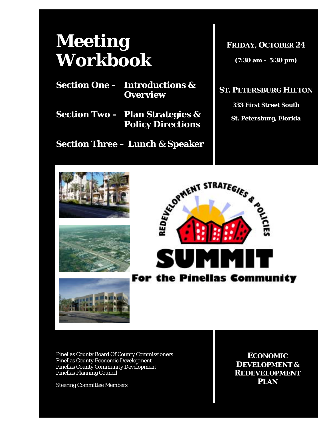# *Meeting Workbook*

**Section One – Introductions & Overview** 

**Section Two – Plan Strategies & Policy Directions** 

**Section Three – Lunch & Speaker** 

**FRIDAY, OCTOBER 24**

**(7:30 am – 5:30 pm)** 

#### **ST. PETERSBURG HILTON**

**333 First Street South** 

**St. Petersburg, Florida** 









Pinellas County Board Of County Commissioners Pinellas County Economic Development Pinellas County Community Development Pinellas Planning Council

Steering Committee Members

**ECONOMIC DEVELOPMENT & REDEVELOPMENT PLAN**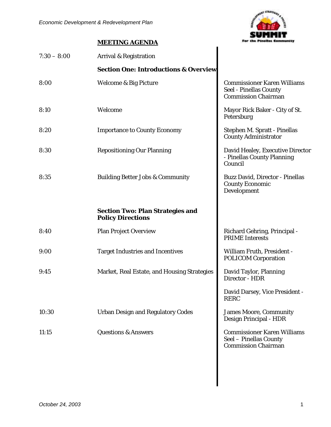

#### **MEETING AGENDA**

| $7:30 - 8:00$ | Arrival & Registration                                              |                                                                                            |
|---------------|---------------------------------------------------------------------|--------------------------------------------------------------------------------------------|
|               | <b>Section One: Introductions &amp; Overview</b>                    |                                                                                            |
| 8:00          | Welcome & Big Picture                                               | <b>Commissioner Karen Williams</b><br>Seel - Pinellas County<br><b>Commission Chairman</b> |
| 8:10          | Welcome                                                             | Mayor Rick Baker - City of St.<br>Petersburg                                               |
| 8:20          | <b>Importance to County Economy</b>                                 | Stephen M. Spratt - Pinellas<br><b>County Administrator</b>                                |
| 8:30          | <b>Repositioning Our Planning</b>                                   | David Healey, Executive Director<br>- Pinellas County Planning<br>Council                  |
| 8:35          | <b>Building Better Jobs &amp; Community</b>                         | Buzz David, Director - Pinellas<br><b>County Economic</b><br>Development                   |
|               | <b>Section Two: Plan Strategies and</b><br><b>Policy Directions</b> |                                                                                            |
| 8:40          | <b>Plan Project Overview</b>                                        | Richard Gehring, Principal -<br><b>PRIME</b> Interests                                     |
| 9:00          | <b>Target Industries and Incentives</b>                             | <b>William Fruth, President -</b><br><b>POLICOM Corporation</b>                            |
| 9:45          | Market, Real Estate, and Housing Strategies                         | David Taylor, Planning<br>Director - HDR                                                   |
|               |                                                                     | David Darsey, Vice President -<br><b>RERC</b>                                              |
| 10:30         | <b>Urban Design and Regulatory Codes</b>                            | <b>James Moore, Community</b><br>Design Principal - HDR                                    |
| 11:15         | <b>Questions &amp; Answers</b>                                      | <b>Commissioner Karen Williams</b><br>Seel - Pinellas County<br><b>Commission Chairman</b> |
|               |                                                                     |                                                                                            |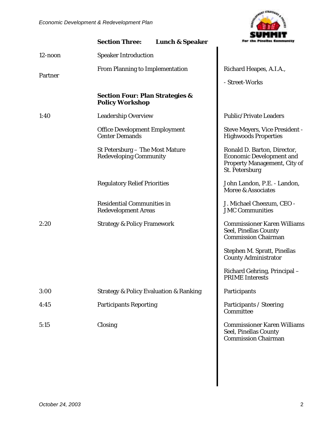

|            | <b>Section Three:</b>                                                | <b>Lunch &amp; Speaker</b>      | For the Pinellas Community                                                                                       |  |
|------------|----------------------------------------------------------------------|---------------------------------|------------------------------------------------------------------------------------------------------------------|--|
| $12$ -noon | <b>Speaker Introduction</b>                                          |                                 |                                                                                                                  |  |
|            |                                                                      | From Planning to Implementation |                                                                                                                  |  |
| Partner    |                                                                      |                                 | - Street-Works                                                                                                   |  |
|            | <b>Section Four: Plan Strategies &amp;</b><br><b>Policy Workshop</b> |                                 |                                                                                                                  |  |
| 1:40       | <b>Leadership Overview</b>                                           |                                 | <b>Public/Private Leaders</b>                                                                                    |  |
|            | <b>Office Development Employment</b><br><b>Center Demands</b>        |                                 | Steve Meyers, Vice President -<br><b>Highwoods Properties</b>                                                    |  |
|            | St Petersburg - The Most Mature<br><b>Redeveloping Community</b>     |                                 | Ronald D. Barton, Director,<br><b>Economic Development and</b><br>Property Management, City of<br>St. Petersburg |  |
|            | <b>Regulatory Relief Priorities</b>                                  |                                 | John Landon, P.E. - Landon,<br>Moree & Associates                                                                |  |
|            | <b>Residential Communities in</b><br><b>Redevelopment Areas</b>      |                                 | J. Michael Cheezum, CEO -<br><b>JMC Communities</b>                                                              |  |
| 2:20       | <b>Strategy &amp; Policy Framework</b>                               |                                 | <b>Commissioner Karen Williams</b><br>Seel, Pinellas County<br><b>Commission Chairman</b>                        |  |
|            |                                                                      |                                 | Stephen M. Spratt, Pinellas<br><b>County Administrator</b>                                                       |  |
|            |                                                                      |                                 | Richard Gehring, Principal-<br><b>PRIME Interests</b>                                                            |  |
| 3:00       | <b>Strategy &amp; Policy Evaluation &amp; Ranking</b>                |                                 | Participants                                                                                                     |  |
| 4:45       | <b>Participants Reporting</b>                                        |                                 | Participants / Steering<br>Committee                                                                             |  |
| 5:15       | Closing                                                              |                                 | <b>Commissioner Karen Williams</b><br>Seel, Pinellas County<br><b>Commission Chairman</b>                        |  |
|            |                                                                      |                                 |                                                                                                                  |  |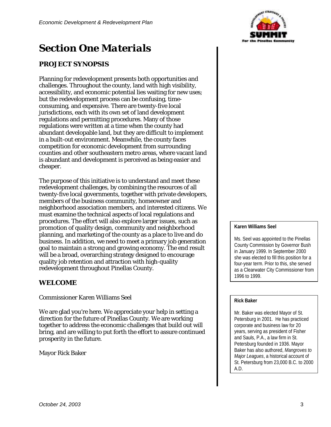### *Section One Materials*

#### **PROJECT SYNOPSIS**

Planning for redevelopment presents both opportunities and challenges. Throughout the county, land with high visibility, accessibility, and economic potential lies waiting for new uses; but the redevelopment process can be confusing, timeconsuming, and expensive. There are twenty-five local jurisdictions, each with its own set of land development regulations and permitting procedures. Many of those regulations were written at a time when the county had abundant developable land, but they are difficult to implement in a built-out environment. Meanwhile, the county faces competition for economic development from surrounding counties and other southeastern metro areas, where vacant land is abundant and development is perceived as being easier and cheaper.

The purpose of this initiative is to understand and meet these redevelopment challenges, by combining the resources of all twenty-five local governments, together with private developers, members of the business community, homeowner and neighborhood association members, and interested citizens. We must examine the technical aspects of local regulations and procedures. The effort will also explore larger issues, such as promotion of quality design, community and neighborhood planning, and marketing of the county as a place to live and do business. In addition, we need to meet a primary job generation goal to maintain a strong and growing economy. The end result will be a broad, overarching strategy designed to encourage quality job retention and attraction with high-quality redevelopment throughout Pinellas County.

#### **WELCOME**

Commissioner Karen Williams Seel

We are glad you're here. We appreciate your help in setting a direction for the future of Pinellas County. We are working together to address the economic challenges that build out will bring, and are willing to put forth the effort to assure continued prosperity in the future.

Mayor Rick Baker



#### **Karen Williams Seel**

Ms. Seel was appointed to the Pinellas County Commission by Governor Bush in January 1999. In September 2000 she was elected to fill this position for a four-year term. Prior to this, she served as a Clearwater City Commissioner from 1996 to 1999.

#### **Rick Baker**

Mr. Baker was elected Mayor of St. Petersburg in 2001. He has practiced corporate and business law for 20 years, serving as president of Fisher and Sauls, P.A., a law firm in St. Petersburg founded in 1936. Mayor Baker has also authored, *Mangroves to Major Leagues*, a historical account of St. Petersburg from 23,000 B.C. to 2000 A.D.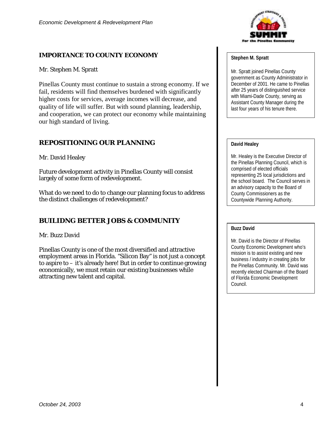### **IMPORTANCE TO COUNTY ECONOMY**

Mr. Stephen M. Spratt

Pinellas County must continue to sustain a strong economy. If we fail, residents will find themselves burdened with significantly higher costs for services, average incomes will decrease, and quality of life will suffer. But with sound planning, leadership, and cooperation, we can protect our economy while maintaining our high standard of living.

#### **REPOSITIONING OUR PLANNING**

Mr. David Healey

Future development activity in Pinellas County will consist largely of some form of redevelopment.

What do we need to do to change our planning focus to address the distinct challenges of redevelopment?

### **BUILIDNG BETTER JOBS & COMMUNITY**

Mr. Buzz David

Pinellas County is one of the most diversified and attractive employment areas in Florida. "Silicon Bay" is not just a concept to aspire to – it's already here! But in order to continue growing economically, we must retain our existing businesses while attracting new talent and capital.



#### **Stephen M. Spratt**

Mr. Spratt joined Pinellas County government as County Administrator in December of 2001. He came to Pinellas after 25 years of distinguished service with Miami-Dade County, serving as Assistant County Manager during the last four years of his tenure there.

#### **David Healey**

Mr. Healey is the Executive Director of the Pinellas Planning Council, which is comprised of elected officials representing 25 local jurisdictions and the school board. The Council serves in an advisory capacity to the Board of County Commissioners as the Countywide Planning Authority.

#### **Buzz David**

Mr. David is the Director of Pinellas County Economic Development who's mission is to assist existing and new business / industry in creating jobs for the Pinellas Community. Mr. David was recently elected Chairman of the Board of Florida Economic Development Council.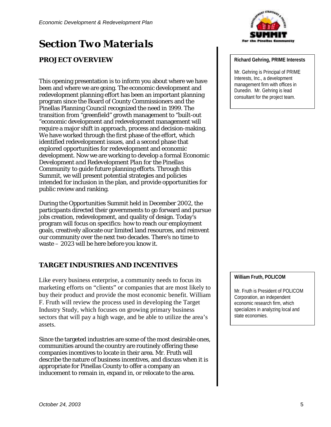## *Section Two Materials*

#### **PROJECT OVERVIEW**

This opening presentation is to inform you about where we have been and where we are going. The economic development and redevelopment planning effort has been an important planning program since the Board of County Commissioners and the Pinellas Planning Council recognized the need in 1999. The transition from "greenfield" growth management to "built-out "economic development and redevelopment management will require a major shift in approach, process and decision-making. We have worked through the first phase of the effort, which identified redevelopment issues, and a second phase that explored opportunities for redevelopment and economic development. Now we are working to develop a formal *Economic Development and Redevelopment Plan for the Pinellas Community* to guide future planning efforts. Through this Summit, we will present potential strategies and policies intended for inclusion in the plan, and provide opportunities for public review and ranking.

During the Opportunities Summit held in December 2002, the participants directed their governments to go forward and pursue jobs creation, redevelopment, and quality of design. Today's program will focus on specifics: how to reach our employment goals, creatively allocate our limited land resources, and reinvent our community over the next two decades. There's no time to waste – 2023 will be here before you know it.

#### **TARGET INDUSTRIES AND INCENTIVES**

Like every business enterprise, a community needs to focus its marketing efforts on "clients" or companies that are most likely to buy their product and provide the most economic benefit. William F. Fruth will review the process used in developing the Target Industry Study, which focuses on growing primary business sectors that will pay a high wage, and be able to utilize the area's assets.

Since the targeted industries are some of the most desirable ones, communities around the country are routinely offering these companies incentives to locate in their area. Mr. Fruth will describe the nature of business incentives, and discuss when it is appropriate for Pinellas County to offer a company an inducement to remain in, expand in, or relocate to the area.



#### **Richard Gehring, PRIME Interests**

Mr. Gehring is Principal of PRIME Interests, Inc., a development management firm with offices in Dunedin. Mr. Gehring is lead consultant for the project team.

#### **William Fruth, POLICOM**

Mr. Fruth is President of POLICOM Corporation, an independent economic research firm, which specializes in analyzing local and state economies.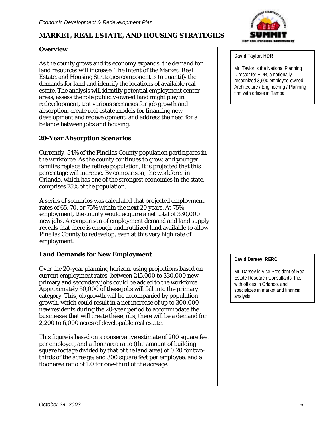#### **MARKET, REAL ESTATE, AND HOUSING STRATEGIES**

#### **Overview**

As the county grows and its economy expands, the demand for land resources will increase. The intent of the Market, Real Estate, and Housing Strategies component is to quantify the demands for land and identify the locations of available real estate. The analysis will identify potential employment center areas, assess the role publicly-owned land might play in redevelopment, test various scenarios for job growth and absorption, create real estate models for financing new development and redevelopment, and address the need for a balance between jobs and housing.

#### **20-Year Absorption Scenarios**

Currently, 54% of the Pinellas County population participates in the workforce. As the county continues to grow, and younger families replace the retiree population, it is projected that this percentage will increase. By comparison, the workforce in Orlando, which has one of the strongest economies in the state, comprises 75% of the population.

A series of scenarios was calculated that projected employment rates of 65, 70, or 75% within the next 20 years. At 75% employment, the county would acquire a net total of 330,000 new jobs. A comparison of employment demand and land supply reveals that there is enough underutilized land available to allow Pinellas County to redevelop, even at this very high rate of employment.

#### **Land Demands for New Employment**

Over the 20-year planning horizon, using projections based on current employment rates, between 215,000 to 330,000 new primary and secondary jobs could be added to the workforce. Approximately 50,000 of these jobs will fall into the primary category. This job growth will be accompanied by population growth, which could result in a net increase of up to 300,000 new residents during the 20-year period to accommodate the businesses that will create these jobs, there will be a demand for 2,200 to 6,000 acres of developable real estate.

This figure is based on a conservative estimate of 200 square feet per employee, and a floor area ratio (the amount of building square footage divided by that of the land area) of 0.20 for twothirds of the acreage; and 300 square feet per employee, and a floor area ratio of 1.0 for one-third of the acreage.



#### **David Taylor, HDR**

Mr. Taylor is the National Planning Director for HDR, a nationally recognized 3,600 employee-owned Architecture / Engineering / Planning firm with offices in Tampa.

#### **David Darsey, RERC**

Mr. Darsey is Vice President of Real Estate Research Consultants, Inc. with offices in Orlando, and specializes in market and financial analysis.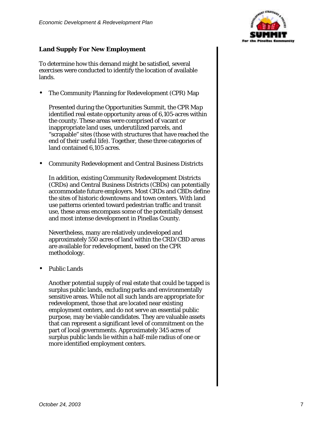#### **Land Supply For New Employment**

To determine how this demand might be satisfied, several exercises were conducted to identify the location of available lands.

• The Community Planning for Redevelopment (CPR) Map

Presented during the Opportunities Summit, the *CPR Map* identified real estate opportunity areas of 6,105-acres within the county. These areas were comprised of vacant or inappropriate land uses, underutilized parcels, and "scrapable" sites (those with structures that have reached the end of their useful life). Together, these three categories of land contained 6,105 acres.

• Community Redevelopment and Central Business Districts

In addition, existing Community Redevelopment Districts (CRDs) and Central Business Districts (CBDs) can potentially accommodate future employers. Most CRDs and CBDs define the sites of historic downtowns and town centers. With land use patterns oriented toward pedestrian traffic and transit use, these areas encompass some of the potentially densest and most intense development in Pinellas County.

Nevertheless, many are relatively undeveloped and approximately 550 acres of land within the CRD/CBD areas are available for redevelopment, based on the CPR methodology.

• Public Lands

Another potential supply of real estate that could be tapped is surplus public lands, excluding parks and environmentally sensitive areas. While not all such lands are appropriate for redevelopment, those that are located near existing employment centers, and do not serve an essential public purpose, may be viable candidates. They are valuable assets that can represent a significant level of commitment on the part of local governments. Approximately 345 acres of surplus public lands lie within a half-mile radius of one or more identified employment centers.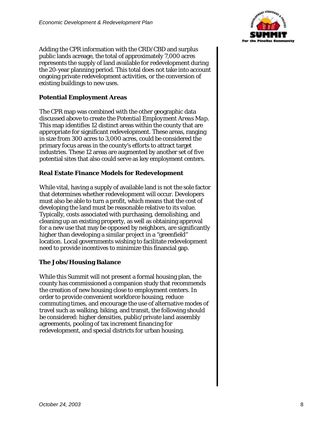

Adding the CPR information with the CRD/CBD and surplus public lands acreage, the total of approximately 7,000 acres represents the supply of land available for redevelopment during the 20-year planning period. This total does not take into account ongoing private redevelopment activities, or the conversion of existing buildings to new uses.

#### **Potential Employment Areas**

The CPR map was combined with the other geographic data discussed above to create the *Potential Employment Areas Map*. This map identifies 12 distinct areas within the county that are appropriate for significant redevelopment. These areas, ranging in size from 300 acres to 3,000 acres, could be considered the primary focus areas in the county's efforts to attract target industries. These 12 areas are augmented by another set of five potential sites that also could serve as key employment centers.

#### **Real Estate Finance Models for Redevelopment**

While vital, having a supply of available land is not the sole factor that determines whether redevelopment will occur. Developers must also be able to turn a profit, which means that the cost of developing the land must be reasonable relative to its value. Typically, costs associated with purchasing, demolishing, and cleaning up an existing property, as well as obtaining approval for a new use that may be opposed by neighbors, are significantly higher than developing a similar project in a "greenfield" location. Local governments wishing to facilitate redevelopment need to provide incentives to minimize this financial gap.

#### **The Jobs/Housing Balance**

While this Summit will not present a formal housing plan, the county has commissioned a companion study that recommends the creation of new housing close to employment centers. In order to provide convenient workforce housing, reduce commuting times, and encourage the use of alternative modes of travel such as walking, biking, and transit, the following should be considered: higher densities, public/private land assembly agreements, pooling of tax increment financing for redevelopment, and special districts for urban housing.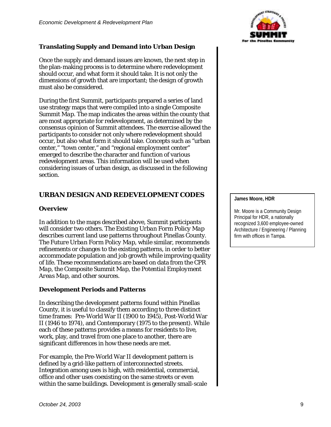#### **Translating Supply and Demand into Urban Design**

Once the supply and demand issues are known, the next step in the plan-making process is to determine where redevelopment should occur, and what form it should take. It is not only the *dimensions* of growth that are important; the *design* of growth must also be considered.

During the first Summit, participants prepared a series of land use strategy maps that were compiled into a single *Composite Summit Map*. The map indicates the areas within the county that are most appropriate for redevelopment, as determined by the consensus opinion of Summit attendees. The exercise allowed the participants to consider not only where redevelopment should occur, but also what form it should take. Concepts such as "urban center," "town center," and "regional employment center" emerged to describe the character and function of various redevelopment areas. This information will be used when considering issues of urban design, as discussed in the following section.

#### **URBAN DESIGN AND REDEVELOPMENT CODES**

#### **Overview**

In addition to the maps described above, Summit participants will consider two others. The *Existing Urban Form Policy Map* describes current land use patterns throughout Pinellas County. The *Future Urban Form Policy Map*, while similar, recommends refinements or changes to the existing patterns, in order to better accommodate population and job growth while improving quality of life. These recommendations are based on data from the *CPR Map*, the *Composite Summit Map*, the *Potential Employment Areas Map*, and other sources.

#### **Development Periods and Patterns**

In describing the development patterns found within Pinellas County, it is useful to classify them according to three distinct time frames: Pre-World War II (1900 to 1945), Post-World War II (1946 to 1974), and Contemporary (1975 to the present). While each of these patterns provides a means for residents to live, work, play, and travel from one place to another, there are significant differences in how these needs are met.

For example, the Pre-World War II development pattern is defined by a grid-like pattern of interconnected streets. Integration among uses is high, with residential, commercial, office and other uses coexisting on the same streets or even within the same buildings. Development is generally small-scale



#### **James Moore, HDR**

Mr. Moore is a Community Design Principal for HDR, a nationally recognized 3,600 employee-owned Architecture / Engineering / Planning firm with offices in Tampa.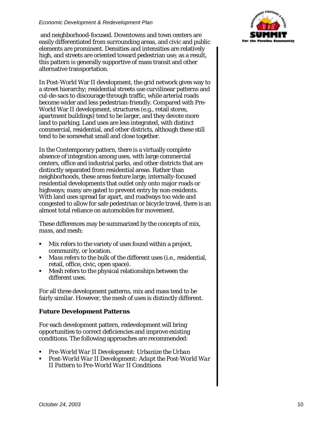#### *Economic Development & Redevelopment Plan*

 and neighborhood-focused. Downtowns and town centers are easily differentiated from surrounding areas, and civic and public elements are prominent. Densities and intensities are relatively high, and streets are oriented toward pedestrian use; as a result, this pattern is generally supportive of mass transit and other alternative transportation.

In Post-World War II development, the grid network gives way to a street hierarchy; residential streets use curvilinear patterns and cul-de-sacs to discourage through traffic, while arterial roads become wider and less pedestrian-friendly. Compared with Pre-World War II development, structures (e.g., retail stores, apartment buildings) tend to be larger, and they devote more land to parking. Land uses are less integrated, with distinct commercial, residential, and other districts, although these still tend to be somewhat small and close together.

In the Contemporary pattern, there is a virtually complete absence of integration among uses, with large commercial centers, office and industrial parks, and other districts that are distinctly separated from residential areas. Rather than neighborhoods, these areas feature large, internally-focused residential developments that outlet only onto major roads or highways; many are gated to prevent entry by non-residents. With land uses spread far apart, and roadways too wide and congested to allow for safe pedestrian or bicycle travel, there is an almost total reliance on automobiles for movement.

These differences may be summarized by the concepts of *mix, mass,* and *mesh*:

- *Mix* refers to the variety of uses found within a project, community, or location.
- *Mass* refers to the bulk of the different uses (i.e., residential, retail, office, civic, open space).
- ! *Mesh* refers to the physical relationships between the different uses.

For all three development patterns, mix and mass tend to be fairly similar. However, the mesh of uses is distinctly different.

#### **Future Development Patterns**

For each development pattern, redevelopment will bring opportunities to correct deficiencies and improve existing conditions. The following approaches are recommended:

- ! *Pre-World War II Development: Urbanize the Urban*
- ! *Post-World War II Development: Adapt the Post-World War II Pattern to Pre-World War II Conditions*

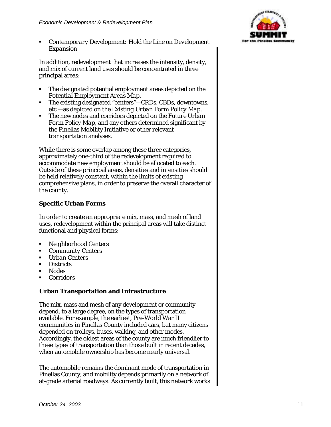! *Contemporary Development: Hold the Line on Development Expansion*

In addition, redevelopment that increases the intensity, density, and mix of current land uses should be concentrated in three principal areas:

- ! The designated potential employment areas depicted on the *Potential Employment Areas Map.*
- ! The existing designated "centers"—CRDs, CBDs, downtowns, etc.—as depicted on the *Existing Urban Form Policy Map.*
- ! The new nodes and corridors depicted on the *Future Urban Form Policy Map*, and any others determined significant by the Pinellas Mobility Initiative or other relevant transportation analyses.

While there is some overlap among these three categories, approximately one-third of the redevelopment required to accommodate new employment should be allocated to each. Outside of these principal areas, densities and intensities should be held relatively constant, within the limits of existing comprehensive plans, in order to preserve the overall character of the county.

#### **Specific Urban Forms**

In order to create an appropriate mix, mass, and mesh of land uses, redevelopment within the principal areas will take distinct functional and physical forms:

- ! *Neighborhood Centers*
- ! *Community Centers*
- ! *Urban Centers*
- ! *Districts*
- ! *Nodes*
- ! *Corridors*

#### **Urban Transportation and Infrastructure**

The mix, mass and mesh of any development or community depend, to a large degree, on the types of transportation available. For example, the earliest, Pre-World War II communities in Pinellas County included cars, but many citizens depended on trolleys, buses, walking, and other modes. Accordingly, the oldest areas of the county are much friendlier to these types of transportation than those built in recent decades, when automobile ownership has become nearly universal.

The automobile remains the dominant mode of transportation in Pinellas County, and mobility depends primarily on a network of at-grade arterial roadways. As currently built, this network works

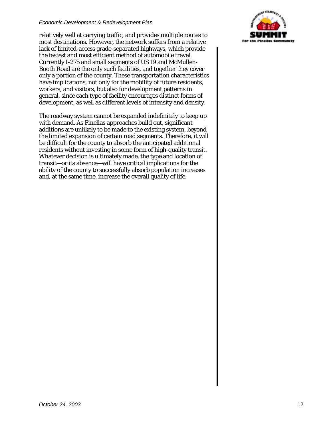#### *Economic Development & Redevelopment Plan*

relatively well at carrying traffic, and provides multiple routes to most destinations. However, the network suffers from a relative lack of limited-access grade-separated highways, which provide the fastest and most efficient method of automobile travel. Currently I-275 and small segments of US 19 and McMullen-Booth Road are the only such facilities, and together they cover only a portion of the county. These transportation characteristics have implications, not only for the mobility of future residents, workers, and visitors, but also for development patterns in general, since each type of facility encourages distinct forms of development, as well as different levels of intensity and density.

The roadway system cannot be expanded indefinitely to keep up with demand. As Pinellas approaches build out, significant additions are unlikely to be made to the existing system, beyond the limited expansion of certain road segments. Therefore, it will be difficult for the county to absorb the anticipated additional residents without investing in some form of high-quality transit. Whatever decision is ultimately made, the type and location of transit—or its absence—will have critical implications for the ability of the county to successfully absorb population increases and, at the same time, increase the overall quality of life.

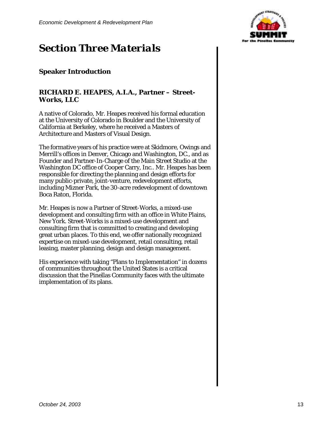

### *Section Three Materials*

#### **Speaker Introduction**

#### **RICHARD E. HEAPES, A.I.A., Partner – Street-Works, LLC**

A native of Colorado, Mr. Heapes received his formal education at the University of Colorado in Boulder and the University of California at Berkeley, where he received a Masters of Architecture and Masters of Visual Design.

The formative years of his practice were at Skidmore, Owings and Merrill's offices in Denver, Chicago and Washington, DC., and as Founder and Partner-In-Charge of the Main Street Studio at the Washington DC office of Cooper Carry, Inc.. Mr. Heapes has been responsible for directing the planning and design efforts for many public-private, joint-venture, redevelopment efforts, including Mizner Park, the 30-acre redevelopment of downtown Boca Raton, Florida.

Mr. Heapes is now a Partner of Street-Works, a mixed-use development and consulting firm with an office in White Plains, New York. Street-Works is a mixed-use development and consulting firm that is committed to creating and developing great urban places. To this end, we offer nationally recognized expertise on mixed-use development, retail consulting, retail leasing, master planning, design and design management.

His experience with taking "Plans to Implementation" in dozens of communities throughout the United States is a critical discussion that the Pinellas Community faces with the ultimate implementation of its plans.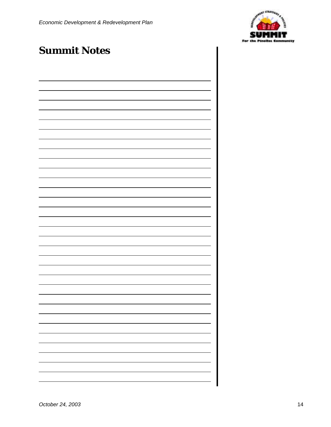

### *Summit Notes*